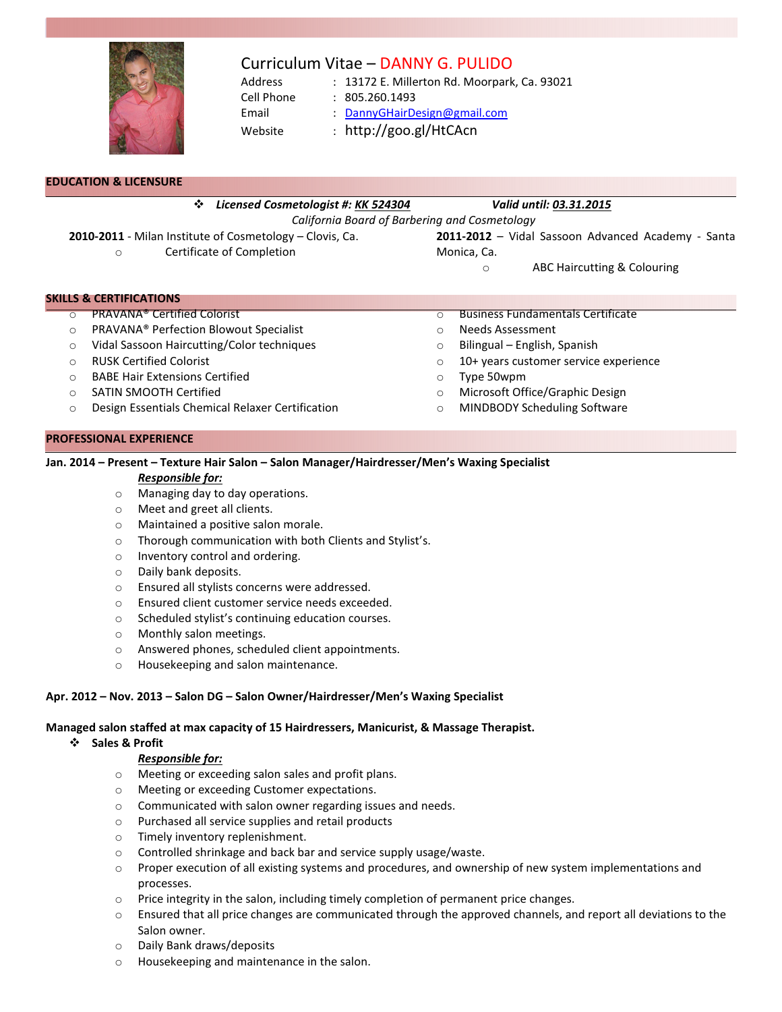

# Curriculum Vitae – DANNY G. PULIDO

- Address : 13172 E. Millerton Rd. Moorpark, Ca. 93021 Cell Phone : 805.260.1493
- Email : DannyGHairDesign@gmail.com
	-
- Website : http://goo.gl/HtCAcn

| EDUCATION & LICENSURE |  |
|-----------------------|--|
|-----------------------|--|

Ī

\* Licensed Cosmetologist #: KK 524304 Valid until: 03.31.2015

California Board of Barbering and Cosmetology

- 2010-2011 Milan Institute of Cosmetology Clovis, Ca.
	- o Certificate of Completion
- 2011-2012 Vidal Sassoon Advanced Academy Santa Monica, Ca.
	- o ABC Haircutting & Colouring

# SKILLS & CERTIFICATIONS

- o PRAVANA® Certified Colorist
- o PRAVANA® Perfection Blowout Specialist
- o Vidal Sassoon Haircutting/Color techniques
- o RUSK Certified Colorist
- o BABE Hair Extensions Certified
- o SATIN SMOOTH Certified
- o Design Essentials Chemical Relaxer Certification

#### PROFESSIONAL EXPERIENCE

# Jan. 2014 – Present – Texture Hair Salon – Salon Manager/Hairdresser/Men's Waxing Specialist

#### Responsible for:

- o Managing day to day operations.
- o Meet and greet all clients.
- o Maintained a positive salon morale.
- o Thorough communication with both Clients and Stylist's.
- o Inventory control and ordering.
- o Daily bank deposits.
- o Ensured all stylists concerns were addressed.
- o Ensured client customer service needs exceeded.
- o Scheduled stylist's continuing education courses.
- o Monthly salon meetings.
- o Answered phones, scheduled client appointments.
- o Housekeeping and salon maintenance.

# Apr. 2012 – Nov. 2013 – Salon DG – Salon Owner/Hairdresser/Men's Waxing Specialist

# Managed salon staffed at max capacity of 15 Hairdressers, Manicurist, & Massage Therapist.

# Sales & Profit

# Responsible for:

- o Meeting or exceeding salon sales and profit plans.
- o Meeting or exceeding Customer expectations.
- o Communicated with salon owner regarding issues and needs.
- o Purchased all service supplies and retail products
- o Timely inventory replenishment.
- o Controlled shrinkage and back bar and service supply usage/waste.
- $\circ$  Proper execution of all existing systems and procedures, and ownership of new system implementations and processes.
- $\circ$  Price integrity in the salon, including timely completion of permanent price changes.
- $\circ$  Ensured that all price changes are communicated through the approved channels, and report all deviations to the Salon owner.
- o Daily Bank draws/deposits
- o Housekeeping and maintenance in the salon.
- 
- o Business Fundamentals Certificate
- o Needs Assessment
- o Bilingual English, Spanish
- o 10+ years customer service experience
- o Type 50wpm
- o Microsoft Office/Graphic Design
- o MINDBODY Scheduling Software